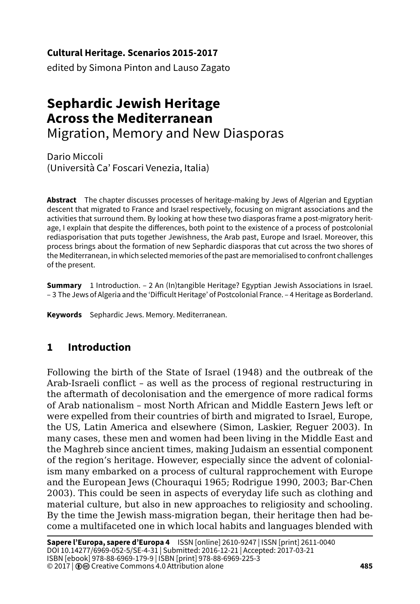**Cultural Heritage. Scenarios 2015-2017**

edited by Simona Pinton and Lauso Zagato

# **Sephardic Jewish Heritage Across the Mediterranean** Migration, Memory and New Diasporas

Dario Miccoli (Università Ca' Foscari Venezia, Italia)

**Abstract** The chapter discusses processes of heritage-making by Jews of Algerian and Egyptian descent that migrated to France and Israel respectively, focusing on migrant associations and the activities that surround them. By looking at how these two diasporas frame a post-migratory heritage, I explain that despite the differences, both point to the existence of a process of postcolonial rediasporisation that puts together Jewishness, the Arab past, Europe and Israel. Moreover, this process brings about the formation of new Sephardic diasporas that cut across the two shores of the Mediterranean, in which selected memories of the past are memorialised to confront challenges of the present.

**Summary** 1 Introduction. – 2 An (In)tangible Heritage? Egyptian Jewish Associations in Israel. – 3 The Jews of Algeria and the 'Difficult Heritage' of Postcolonial France. – 4 Heritage as Borderland.

**Keywords** Sephardic Jews. Memory. Mediterranean.

## **1 Introduction**

Following the birth of the State of Israel (1948) and the outbreak of the Arab-Israeli conflict – as well as the process of regional restructuring in the aftermath of decolonisation and the emergence of more radical forms of Arab nationalism – most North African and Middle Eastern Jews left or were expelled from their countries of birth and migrated to Israel, Europe, the US, Latin America and elsewhere (Simon, Laskier, Reguer 2003). In many cases, these men and women had been living in the Middle East and the Maghreb since ancient times, making Judaism an essential component of the region's heritage. However, especially since the advent of colonialism many embarked on a process of cultural rapprochement with Europe and the European Jews (Chouraqui 1965; Rodrigue 1990, 2003; Bar-Chen 2003). This could be seen in aspects of everyday life such as clothing and material culture, but also in new approaches to religiosity and schooling. By the time the Jewish mass-migration began, their heritage then had become a multifaceted one in which local habits and languages blended with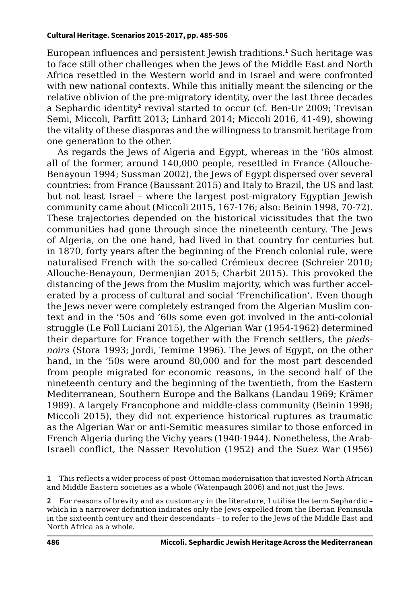European influences and persistent Jewish traditions.**<sup>1</sup>** Such heritage was to face still other challenges when the Jews of the Middle East and North Africa resettled in the Western world and in Israel and were confronted with new national contexts. While this initially meant the silencing or the relative oblivion of the pre-migratory identity, over the last three decades a Sephardic identity<sup>2</sup> revival started to occur (cf. Ben-Ur 2009; Trevisan Semi, Miccoli, Parfitt 2013; Linhard 2014; Miccoli 2016, 41-49), showing the vitality of these diasporas and the willingness to transmit heritage from one generation to the other.

As regards the Jews of Algeria and Egypt, whereas in the '60s almost all of the former, around 140,000 people, resettled in France (Allouche-Benayoun 1994; Sussman 2002), the Jews of Egypt dispersed over several countries: from France (Baussant 2015) and Italy to Brazil, the US and last but not least Israel – where the largest post-migratory Egyptian Jewish community came about (Miccoli 2015, 167-176; also: Beinin 1998, 70-72). These trajectories depended on the historical vicissitudes that the two communities had gone through since the nineteenth century. The Jews of Algeria, on the one hand, had lived in that country for centuries but in 1870, forty years after the beginning of the French colonial rule, were naturalised French with the so-called Crémieux decree (Schreier 2010; Allouche-Benayoun, Dermenjian 2015; Charbit 2015). This provoked the distancing of the Jews from the Muslim majority, which was further accelerated by a process of cultural and social 'Frenchification'. Even though the Jews never were completely estranged from the Algerian Muslim context and in the '50s and '60s some even got involved in the anti-colonial struggle (Le Foll Luciani 2015), the Algerian War (1954-1962) determined their departure for France together with the French settlers, the *piedsnoirs* (Stora 1993; Jordi, Temime 1996). The Jews of Egypt, on the other hand, in the '50s were around 80,000 and for the most part descended from people migrated for economic reasons, in the second half of the nineteenth century and the beginning of the twentieth, from the Eastern Mediterranean, Southern Europe and the Balkans (Landau 1969; Krämer 1989). A largely Francophone and middle-class community (Beinin 1998; Miccoli 2015), they did not experience historical ruptures as traumatic as the Algerian War or anti-Semitic measures similar to those enforced in French Algeria during the Vichy years (1940-1944). Nonetheless, the Arab-Israeli conflict, the Nasser Revolution (1952) and the Suez War (1956)

**<sup>1</sup>** This reflects a wider process of post-Ottoman modernisation that invested North African and Middle Eastern societies as a whole (Watenpaugh 2006) and not just the Jews.

**<sup>2</sup>** For reasons of brevity and as customary in the literature, I utilise the term Sephardic – which in a narrower definition indicates only the Jews expelled from the Iberian Peninsula in the sixteenth century and their descendants – to refer to the Jews of the Middle East and North Africa as a whole.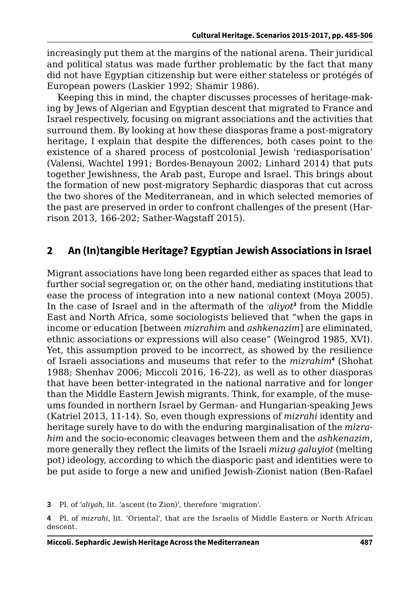increasingly put them at the margins of the national arena. Their juridical and political status was made further problematic by the fact that many did not have Egyptian citizenship but were either stateless or protégés of European powers (Laskier 1992; Shamir 1986).

Keeping this in mind, the chapter discusses processes of heritage-making by Jews of Algerian and Egyptian descent that migrated to France and Israel respectively, focusing on migrant associations and the activities that surround them. By looking at how these diasporas frame a post-migratory heritage, I explain that despite the differences, both cases point to the existence of a shared process of postcolonial Jewish 'rediasporisation' (Valensi, Wachtel 1991; Bordes-Benayoun 2002; Linhard 2014) that puts together Jewishness, the Arab past, Europe and Israel. This brings about the formation of new post-migratory Sephardic diasporas that cut across the two shores of the Mediterranean, and in which selected memories of the past are preserved in order to confront challenges of the present (Harrison 2013, 166-202; Sather-Wagstaff 2015).

### **2 An (In)tangible Heritage? Egyptian Jewish Associations in Israel**

Migrant associations have long been regarded either as spaces that lead to further social segregation or, on the other hand, mediating institutions that ease the process of integration into a new national context (Moya 2005). In the case of Israel and in the aftermath of the *'aliyot***<sup>3</sup>** from the Middle East and North Africa, some sociologists believed that "when the gaps in income or education [between *mizrahim* and *ashkenazim*] are eliminated, ethnic associations or expressions will also cease" (Weingrod 1985, XVI). Yet, this assumption proved to be incorrect, as showed by the resilience of Israeli associations and museums that refer to the *mizrahim***<sup>4</sup>** (Shohat 1988; Shenhav 2006; Miccoli 2016, 16-22), as well as to other diasporas that have been better-integrated in the national narrative and for longer than the Middle Eastern Jewish migrants. Think, for example, of the museums founded in northern Israel by German- and Hungarian-speaking Jews (Katriel 2013, 11-14). So, even though expressions of *mizrahi* identity and heritage surely have to do with the enduring marginalisation of the *mizrahim* and the socio-economic cleavages between them and the *ashkenazim*, more generally they reflect the limits of the Israeli *mizug galuyiot* (melting pot) ideology, according to which the diasporic past and identities were to be put aside to forge a new and unified Jewish-Zionist nation (Ben-Rafael

**3** Pl. of *'aliyah*, lit. 'ascent (to Zion)', therefore 'migration'.

**<sup>4</sup>** Pl. of *mizrahi*, lit. 'Oriental', that are the Israelis of Middle Eastern or North African descent.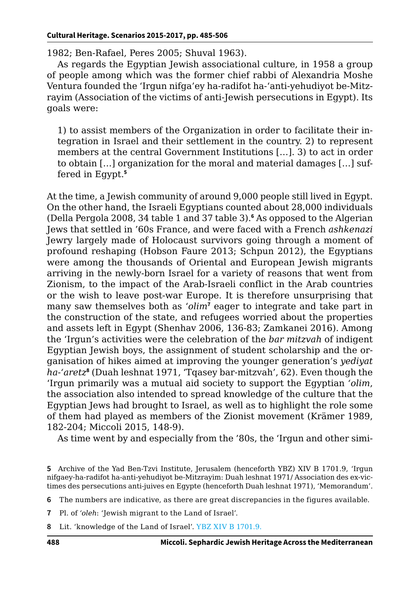#### **Cultural Heritage. Scenarios 2015-2017, pp. 485-506**

1982; Ben-Rafael, Peres 2005; Shuval 1963).

As regards the Egyptian Jewish associational culture, in 1958 a group of people among which was the former chief rabbi of Alexandria Moshe Ventura founded the 'Irgun nifga'ey ha-radifot ha-'anti-yehudiyot be-Mitzrayim (Association of the victims of anti-Jewish persecutions in Egypt). Its goals were:

1) to assist members of the Organization in order to facilitate their integration in Israel and their settlement in the country. 2) to represent members at the central Government Institutions […]. 3) to act in order to obtain […] organization for the moral and material damages […] suffered in Egypt.**<sup>5</sup>**

At the time, a Jewish community of around 9,000 people still lived in Egypt. On the other hand, the Israeli Egyptians counted about 28,000 individuals (Della Pergola 2008, 34 table 1 and 37 table 3).<sup>6</sup> As opposed to the Algerian Jews that settled in '60s France, and were faced with a French *ashkenazi* Jewry largely made of Holocaust survivors going through a moment of profound reshaping (Hobson Faure 2013; Schpun 2012), the Egyptians were among the thousands of Oriental and European Jewish migrants arriving in the newly-born Israel for a variety of reasons that went from Zionism, to the impact of the Arab-Israeli conflict in the Arab countries or the wish to leave post-war Europe. It is therefore unsurprising that many saw themselves both as '*olim***<sup>7</sup>** eager to integrate and take part in the construction of the state, and refugees worried about the properties and assets left in Egypt (Shenhav 2006, 136-83; Zamkanei 2016). Among the 'Irgun's activities were the celebration of the *bar mitzvah* of indigent Egyptian Jewish boys, the assignment of student scholarship and the organisation of hikes aimed at improving the younger generation's *yediyat ha-'aretz***<sup>8</sup>** (Duah leshnat 1971, 'Tqasey bar-mitzvah', 62). Even though the 'Irgun primarily was a mutual aid society to support the Egyptian *'olim*, the association also intended to spread knowledge of the culture that the Egyptian Jews had brought to Israel, as well as to highlight the role some of them had played as members of the Zionist movement (Krämer 1989, 182-204; Miccoli 2015, 148-9).

As time went by and especially from the '80s, the 'Irgun and other simi-

- **7** Pl. of *'oleh*: 'Jewish migrant to the Land of Israel'.
- **8** Lit. 'knowledge of the Land of Israel'. YBZ XIV B 1701.9.

**<sup>5</sup>** Archive of the Yad Ben-Tzvi Institute, Jerusalem (henceforth YBZ) XIV B 1701.9, 'Irgun nifgaey-ha-radifot ha-anti-yehudiyot be-Mitzrayim: Duah leshnat 1971/ Association des ex-victimes des persecutions anti-juives en Egypte (henceforth Duah leshnat 1971), 'Memorandum'.

**<sup>6</sup>** The numbers are indicative, as there are great discrepancies in the figures available.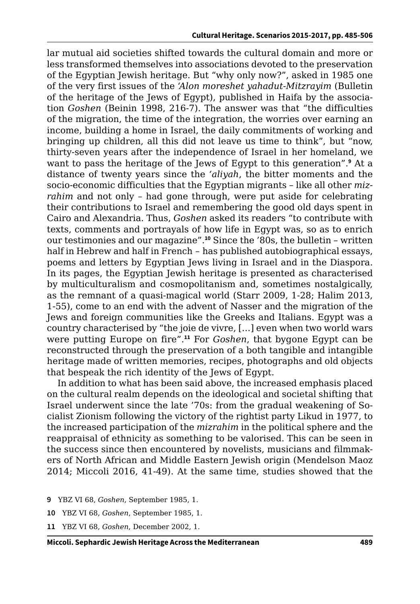lar mutual aid societies shifted towards the cultural domain and more or less transformed themselves into associations devoted to the preservation of the Egyptian Jewish heritage. But "why only now?", asked in 1985 one of the very first issues of the *'Alon moreshet yahadut-Mitzrayim* (Bulletin of the heritage of the Jews of Egypt), published in Haifa by the association *Goshen* (Beinin 1998, 216-7). The answer was that "the difficulties of the migration, the time of the integration, the worries over earning an income, building a home in Israel, the daily commitments of working and bringing up children, all this did not leave us time to think", but "now, thirty-seven years after the independence of Israel in her homeland, we want to pass the heritage of the Jews of Egypt to this generation".**<sup>9</sup>** At a distance of twenty years since the *'aliyah*, the bitter moments and the socio-economic difficulties that the Egyptian migrants – like all other *mizrahim* and not only – had gone through, were put aside for celebrating their contributions to Israel and remembering the good old days spent in Cairo and Alexandria. Thus, *Goshen* asked its readers "to contribute with texts, comments and portrayals of how life in Egypt was, so as to enrich our testimonies and our magazine".**<sup>10</sup>** Since the '80s, the bulletin – written half in Hebrew and half in French – has published autobiographical essays, poems and letters by Egyptian Jews living in Israel and in the Diaspora. In its pages, the Egyptian Jewish heritage is presented as characterised by multiculturalism and cosmopolitanism and, sometimes nostalgically, as the remnant of a quasi-magical world (Starr 2009, 1-28; Halim 2013, 1-55), come to an end with the advent of Nasser and the migration of the Jews and foreign communities like the Greeks and Italians. Egypt was a country characterised by "the joie de vivre, […] even when two world wars were putting Europe on fire".**<sup>11</sup>** For *Goshen*, that bygone Egypt can be reconstructed through the preservation of a both tangible and intangible heritage made of written memories, recipes, photographs and old objects that bespeak the rich identity of the Jews of Egypt.

In addition to what has been said above, the increased emphasis placed on the cultural realm depends on the ideological and societal shifting that Israel underwent since the late '70s: from the gradual weakening of Socialist Zionism following the victory of the rightist party Likud in 1977, to the increased participation of the *mizrahim* in the political sphere and the reappraisal of ethnicity as something to be valorised. This can be seen in the success since then encountered by novelists, musicians and filmmakers of North African and Middle Eastern Jewish origin (Mendelson Maoz 2014; Miccoli 2016, 41-49). At the same time, studies showed that the

- **9** YBZ VI 68, *Goshen*, September 1985, 1.
- **10** YBZ VI 68, *Goshen*, September 1985, 1.
- **11** YBZ VI 68, *Goshen*, December 2002, 1.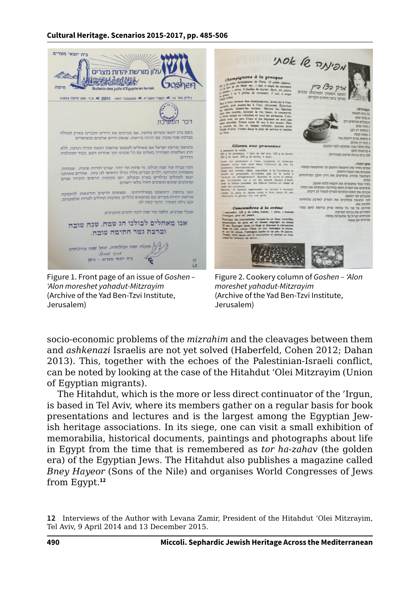#### **Cultural Heritage. Scenarios 2015-2017, pp. 485-506**



socio-economic problems of the *mizrahim* and the cleavages between them and *ashkenazi* Israelis are not yet solved (Haberfeld, Cohen 2012; Dahan 2013). This, together with the echoes of the Palestinian-Israeli conflict, can be noted by looking at the case of the Hitahdut 'Olei Mitzrayim (Union of Egyptian migrants).

The Hitahdut, which is the more or less direct continuator of the 'Irgun, is based in Tel Aviv, where its members gather on a regular basis for book presentations and lectures and is the largest among the Egyptian Jewish heritage associations. In its siege, one can visit a small exhibition of memorabilia, historical documents, paintings and photographs about life in Egypt from the time that is remembered as *tor ha-zahav* (the golden era) of the Egyptian Jews. The Hitahdut also publishes a magazine called *Bney Hayeor* (Sons of the Nile) and organises World Congresses of Jews from Egypt.**<sup>12</sup>**

**<sup>12</sup>** Interviews of the Author with Levana Zamir, President of the Hitahdut 'Olei Mitzrayim, Tel Aviv, 9 April 2014 and 13 December 2015.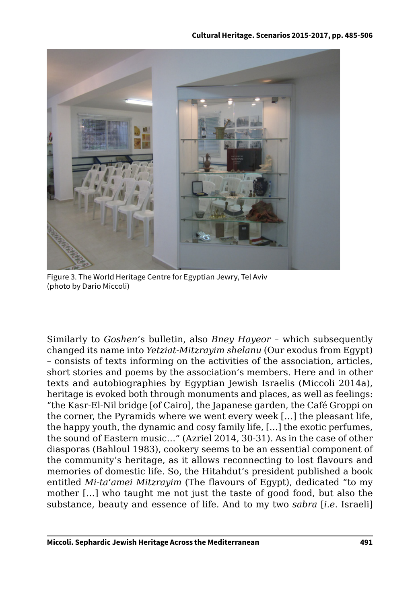

Figure 3. The World Heritage Centre for Egyptian Jewry, Tel Aviv (photo by Dario Miccoli)

Similarly to *Goshen*'s bulletin, also *Bney Hayeor* – which subsequently changed its name into *Yetziat-Mitzrayim shelanu* (Our exodus from Egypt) – consists of texts informing on the activities of the association, articles, short stories and poems by the association's members. Here and in other texts and autobiographies by Egyptian Jewish Israelis (Miccoli 2014a), heritage is evoked both through monuments and places, as well as feelings: "the Kasr-El-Nil bridge [of Cairo], the Japanese garden, the Café Groppi on the corner, the Pyramids where we went every week […] the pleasant life, the happy youth, the dynamic and cosy family life, […] the exotic perfumes, the sound of Eastern music…" (Azriel 2014, 30-31). As in the case of other diasporas (Bahloul 1983), cookery seems to be an essential component of the community's heritage, as it allows reconnecting to lost flavours and memories of domestic life. So, the Hitahdut's president published a book entitled *Mi-ta'amei Mitzrayim* (The flavours of Egypt), dedicated "to my mother […] who taught me not just the taste of good food, but also the substance, beauty and essence of life. And to my two *sabra* [*i.e.* Israeli]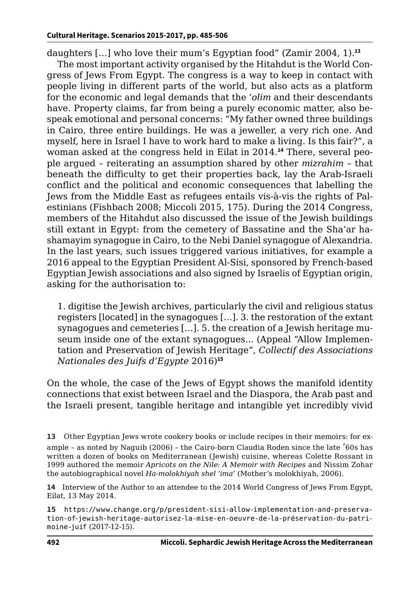daughters […] who love their mum's Egyptian food" (Zamir 2004, 1).**<sup>13</sup>**

The most important activity organised by the Hitahdut is the World Congress of Jews From Egypt. The congress is a way to keep in contact with people living in different parts of the world, but also acts as a platform for the economic and legal demands that the *'olim* and their descendants have. Property claims, far from being a purely economic matter, also bespeak emotional and personal concerns: "My father owned three buildings in Cairo, three entire buildings. He was a jeweller, a very rich one. And myself, here in Israel I have to work hard to make a living. Is this fair?", a woman asked at the congress held in Eilat in 2014.**14** There, several people argued – reiterating an assumption shared by other *mizrahim* – that beneath the difficulty to get their properties back, lay the Arab-Israeli conflict and the political and economic consequences that labelling the Jews from the Middle East as refugees entails vis-à-vis the rights of Palestinians (Fishbach 2008; Miccoli 2015, 175). During the 2014 Congress, members of the Hitahdut also discussed the issue of the Jewish buildings still extant in Egypt: from the cemetery of Bassatine and the Sha'ar hashamayim synagogue in Cairo, to the Nebi Daniel synagogue of Alexandria. In the last years, such issues triggered various initiatives, for example a 2016 appeal to the Egyptian President Al-Sisi, sponsored by French-based Egyptian Jewish associations and also signed by Israelis of Egyptian origin, asking for the authorisation to:

1. digitise the Jewish archives, particularly the civil and religious status registers [located] in the synagogues […]. 3. the restoration of the extant synagogues and cemeteries […]. 5. the creation of a Jewish heritage museum inside one of the extant synagogues... (Appeal "Allow Implementation and Preservation of Jewish Heritage", *Collectif des Associations Nationales des Juifs d'Egypte* 2016)**<sup>15</sup>**

On the whole, the case of the Jews of Egypt shows the manifold identity connections that exist between Israel and the Diaspora, the Arab past and the Israeli present, tangible heritage and intangible yet incredibly vivid

**13** Other Egyptian Jews wrote cookery books or include recipes in their memoirs: for example – as noted by Naguib (2006) – the Cairo-born Claudia Roden since the late '60s has written a dozen of books on Mediterranean (Jewish) cuisine, whereas Colette Rossant in 1999 authored the memoir *Apricots on the Nile: A Memoir with Recipes* and Nissim Zohar the autobiographical novel *Ha-molokhiyah shel 'ima'* (Mother's molokhiyah, 2006).

**14** Interview of the Author to an attendee to the 2014 World Congress of Jews From Egypt, Eilat, 13 May 2014.

**15** [https://www.change.org/p/president-sisi-allow-implementation-and-preserva](https://www.change.org/p/president-sisi-allow-implementation-and-preservation-of-jewish-heritage-aut)[tion-of-jewish-heritage-autorisez-la-mise-en-oeuvre-de-la-préservation-du-patri](https://www.change.org/p/president-sisi-allow-implementation-and-preservation-of-jewish-heritage-aut)[moine-juif](https://www.change.org/p/president-sisi-allow-implementation-and-preservation-of-jewish-heritage-aut) (2017-12-15).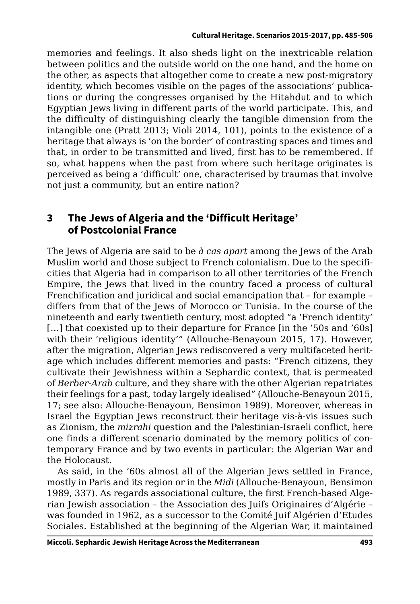memories and feelings. It also sheds light on the inextricable relation between politics and the outside world on the one hand, and the home on the other, as aspects that altogether come to create a new post-migratory identity, which becomes visible on the pages of the associations' publications or during the congresses organised by the Hitahdut and to which Egyptian Jews living in different parts of the world participate. This, and the difficulty of distinguishing clearly the tangible dimension from the intangible one (Pratt 2013; Violi 2014, 101), points to the existence of a heritage that always is 'on the border' of contrasting spaces and times and that, in order to be transmitted and lived, first has to be remembered. If so, what happens when the past from where such heritage originates is perceived as being a 'difficult' one, characterised by traumas that involve not just a community, but an entire nation?

### **3 The Jews of Algeria and the 'Difficult Heritage' of Postcolonial France**

The Jews of Algeria are said to be *à cas apart* among the Jews of the Arab Muslim world and those subject to French colonialism. Due to the specificities that Algeria had in comparison to all other territories of the French Empire, the Jews that lived in the country faced a process of cultural Frenchification and juridical and social emancipation that – for example – differs from that of the Jews of Morocco or Tunisia. In the course of the nineteenth and early twentieth century, most adopted "a 'French identity' [...] that coexisted up to their departure for France [in the '50s and '60s] with their 'religious identity'" (Allouche-Benayoun 2015, 17). However, after the migration, Algerian Jews rediscovered a very multifaceted heritage which includes different memories and pasts: "French citizens, they cultivate their Jewishness within a Sephardic context, that is permeated of *Berber-Arab* culture, and they share with the other Algerian repatriates their feelings for a past, today largely idealised" (Allouche-Benayoun 2015, 17; see also: Allouche-Benayoun, Bensimon 1989). Moreover, whereas in Israel the Egyptian Jews reconstruct their heritage vis-à-vis issues such as Zionism, the *mizrahi* question and the Palestinian-Israeli conflict, here one finds a different scenario dominated by the memory politics of contemporary France and by two events in particular: the Algerian War and the Holocaust.

As said, in the '60s almost all of the Algerian Jews settled in France, mostly in Paris and its region or in the *Midi* (Allouche-Benayoun, Bensimon 1989, 337). As regards associational culture, the first French-based Algerian Jewish association – the Association des Juifs Originaires d'Algérie – was founded in 1962, as a successor to the Comité Juif Algérien d'Etudes Sociales. Established at the beginning of the Algerian War, it maintained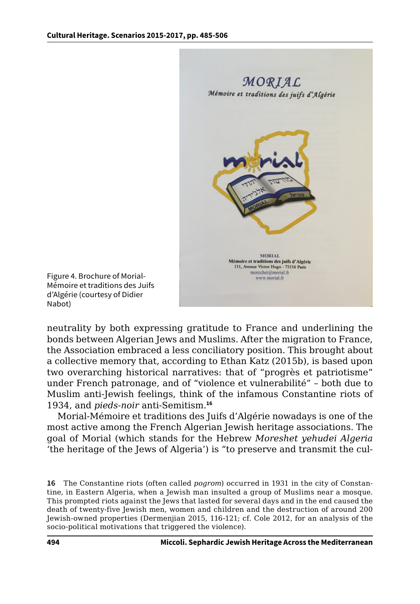

Figure 4. Brochure of Morial-Mémoire et traditions des Juifs d'Algérie (courtesy of Didier Nabot)

neutrality by both expressing gratitude to France and underlining the bonds between Algerian Jews and Muslims. After the migration to France, the Association embraced a less conciliatory position. This brought about a collective memory that, according to Ethan Katz (2015b), is based upon two overarching historical narratives: that of "progrès et patriotisme" under French patronage, and of "violence et vulnerabilité" – both due to Muslim anti-Jewish feelings, think of the infamous Constantine riots of 1934, and *pieds-noir* anti-Semitism.**<sup>16</sup>**

Morial-Mémoire et traditions des Juifs d'Algérie nowadays is one of the most active among the French Algerian Jewish heritage associations. The goal of Morial (which stands for the Hebrew *Moreshet yehudei Algeria* 'the heritage of the Jews of Algeria') is "to preserve and transmit the cul-

**<sup>16</sup>** The Constantine riots (often called *pogrom*) occurred in 1931 in the city of Constantine, in Eastern Algeria, when a Jewish man insulted a group of Muslims near a mosque. This prompted riots against the Jews that lasted for several days and in the end caused the death of twenty-five Jewish men, women and children and the destruction of around 200 Jewish-owned properties (Dermenjian 2015, 116-121; cf. Cole 2012, for an analysis of the socio-political motivations that triggered the violence).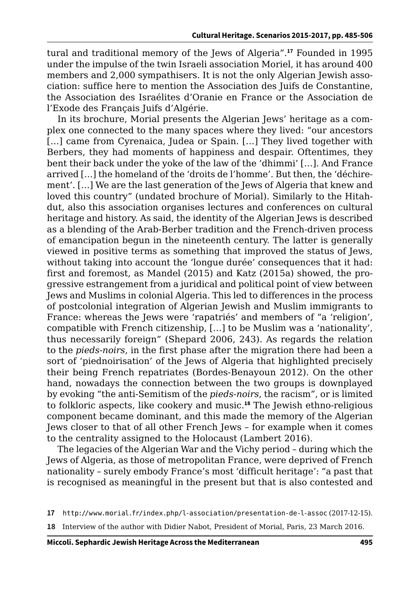tural and traditional memory of the Jews of Algeria".**<sup>17</sup>** Founded in 1995 under the impulse of the twin Israeli association Moriel, it has around 400 members and 2,000 sympathisers. It is not the only Algerian Jewish association: suffice here to mention the Association des Juifs de Constantine, the Association des Israélites d'Oranie en France or the Association de l'Exode des Français Juifs d'Algérie.

In its brochure, Morial presents the Algerian Jews' heritage as a complex one connected to the many spaces where they lived: "our ancestors [...] came from Cyrenaica, Judea or Spain. [...] They lived together with Berbers, they had moments of happiness and despair. Oftentimes, they bent their back under the yoke of the law of the 'dhimmi' […]. And France arrived […] the homeland of the 'droits de l'homme'. But then, the 'déchirement'. […] We are the last generation of the Jews of Algeria that knew and loved this country" (undated brochure of Morial). Similarly to the Hitahdut, also this association organises lectures and conferences on cultural heritage and history. As said, the identity of the Algerian Jews is described as a blending of the Arab-Berber tradition and the French-driven process of emancipation begun in the nineteenth century. The latter is generally viewed in positive terms as something that improved the status of Jews, without taking into account the 'longue durée' consequences that it had: first and foremost, as Mandel (2015) and Katz (2015a) showed, the progressive estrangement from a juridical and political point of view between Jews and Muslims in colonial Algeria. This led to differences in the process of postcolonial integration of Algerian Jewish and Muslim immigrants to France: whereas the Jews were 'rapatriés' and members of "a 'religion', compatible with French citizenship, […] to be Muslim was a 'nationality', thus necessarily foreign" (Shepard 2006, 243). As regards the relation to the *pieds-noirs*, in the first phase after the migration there had been a sort of 'piednoirisation' of the Jews of Algeria that highlighted precisely their being French repatriates (Bordes-Benayoun 2012). On the other hand, nowadays the connection between the two groups is downplayed by evoking "the anti-Semitism of the *pieds-noirs*, the racism", or is limited to folkloric aspects, like cookery and music.**<sup>18</sup>** The Jewish ethno-religious component became dominant, and this made the memory of the Algerian Jews closer to that of all other French Jews – for example when it comes to the centrality assigned to the Holocaust (Lambert 2016).

The legacies of the Algerian War and the Vichy period – during which the Jews of Algeria, as those of metropolitan France, were deprived of French nationality – surely embody France's most 'difficult heritage': "a past that is recognised as meaningful in the present but that is also contested and

**<sup>17</sup>** <http://www.morial.fr/index.php/l-association/presentation-de-l-assoc> (2017-12-15).

**<sup>18</sup>** Interview of the author with Didier Nabot, President of Morial, Paris, 23 March 2016.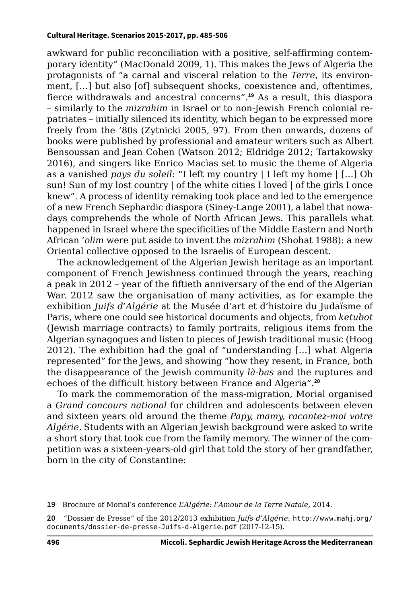awkward for public reconciliation with a positive, self-affirming contemporary identity" (MacDonald 2009, 1). This makes the Jews of Algeria the protagonists of "a carnal and visceral relation to the *Terre*, its environment, […] but also [of] subsequent shocks, coexistence and, oftentimes, fierce withdrawals and ancestral concerns".**<sup>19</sup>** As a result, this diaspora – similarly to the *mizrahim* in Israel or to non-Jewish French colonial repatriates – initially silenced its identity, which began to be expressed more freely from the '80s (Zytnicki 2005, 97). From then onwards, dozens of books were published by professional and amateur writers such as Albert Bensoussan and Jean Cohen (Watson 2012; Eldridge 2012; Tartakowsky 2016), and singers like Enrico Macìas set to music the theme of Algeria as a vanished *pays du soleil*: "I left my country | I left my home | […] Oh sun! Sun of my lost country | of the white cities I loved | of the girls I once knew". A process of identity remaking took place and led to the emergence of a new French Sephardic diaspora (Siney-Lange 2001), a label that nowadays comprehends the whole of North African Jews. This parallels what happened in Israel where the specificities of the Middle Eastern and North African *'olim* were put aside to invent the *mizrahim* (Shohat 1988): a new Oriental collective opposed to the Israelis of European descent.

The acknowledgement of the Algerian Jewish heritage as an important component of French Jewishness continued through the years, reaching a peak in 2012 – year of the fiftieth anniversary of the end of the Algerian War. 2012 saw the organisation of many activities, as for example the exhibition *Juifs d'Algérie* at the Musée d'art et d'histoire du Judaïsme of Paris, where one could see historical documents and objects, from *ketubot* (Jewish marriage contracts) to family portraits, religious items from the Algerian synagogues and listen to pieces of Jewish traditional music (Hoog 2012). The exhibition had the goal of "understanding […] what Algeria represented" for the Jews, and showing "how they resent, in France, both the disappearance of the Jewish community *là-bas* and the ruptures and echoes of the difficult history between France and Algeria".**<sup>20</sup>**

To mark the commemoration of the mass-migration, Morial organised a *Grand concours national* for children and adolescents between eleven and sixteen years old around the theme *Papy, mamy, racontez-moi votre Algérie*. Students with an Algerian Jewish background were asked to write a short story that took cue from the family memory. The winner of the competition was a sixteen-years-old girl that told the story of her grandfather, born in the city of Constantine:

**19** Brochure of Morial's conference *L'Algérie: l'Amour de la Terre Natale*, 2014.

**20** "Dossier de Presse" of the 2012/2013 exhibition *Juifs d'Algérie*: [http://www.mahj.org/](http://www.mahj.org/documents/dossier-de-presse-Juifs-d-Algerie.pdf) [documents/dossier-de-presse-Juifs-d-Algerie.pdf](http://www.mahj.org/documents/dossier-de-presse-Juifs-d-Algerie.pdf) (2017-12-15).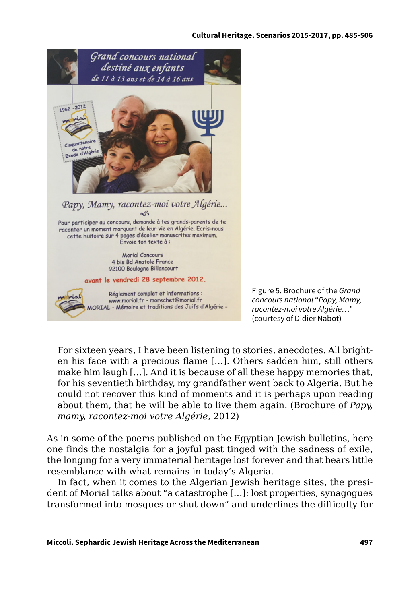

Figure 5. Brochure of the *Grand concours national* "*Papy, Mamy, racontez-moi votre Algérie…"* (courtesy of Didier Nabot)

For sixteen years, I have been listening to stories, anecdotes. All brighten his face with a precious flame […]. Others sadden him, still others make him laugh […]. And it is because of all these happy memories that, for his seventieth birthday, my grandfather went back to Algeria. But he could not recover this kind of moments and it is perhaps upon reading about them, that he will be able to live them again. (Brochure of *Papy, mamy, racontez-moi votre Algérie*, 2012)

As in some of the poems published on the Egyptian Jewish bulletins, here one finds the nostalgia for a joyful past tinged with the sadness of exile, the longing for a very immaterial heritage lost forever and that bears little resemblance with what remains in today's Algeria.

In fact, when it comes to the Algerian Jewish heritage sites, the president of Morial talks about "a catastrophe […]: lost properties, synagogues transformed into mosques or shut down" and underlines the difficulty for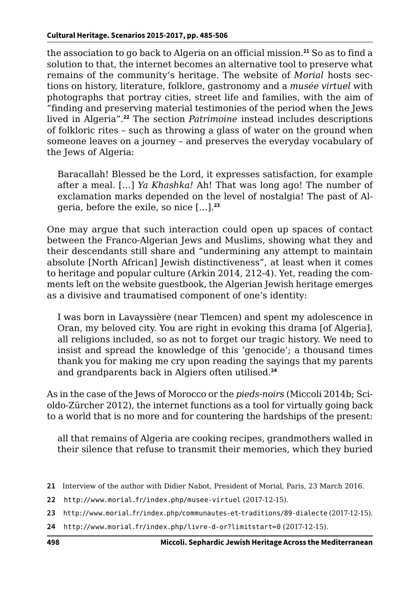the association to go back to Algeria on an official mission.**<sup>21</sup>** So as to find a solution to that, the internet becomes an alternative tool to preserve what remains of the community's heritage. The website of *Morial* hosts sections on history, literature, folklore, gastronomy and a *musée virtuel* with photographs that portray cities, street life and families, with the aim of "finding and preserving material testimonies of the period when the Jews lived in Algeria".**<sup>22</sup>** The section *Patrimoine* instead includes descriptions of folkloric rites – such as throwing a glass of water on the ground when someone leaves on a journey – and preserves the everyday vocabulary of the Jews of Algeria:

Baracallah! Blessed be the Lord, it expresses satisfaction, for example after a meal. […] *Ya Khashka!* Ah! That was long ago! The number of exclamation marks depended on the level of nostalgia! The past of Algeria, before the exile, so nice […].**<sup>23</sup>**

One may argue that such interaction could open up spaces of contact between the Franco-Algerian Jews and Muslims, showing what they and their descendants still share and "undermining any attempt to maintain absolute [North African] Jewish distinctiveness", at least when it comes to heritage and popular culture (Arkin 2014, 212-4). Yet, reading the comments left on the website guestbook, the Algerian Jewish heritage emerges as a divisive and traumatised component of one's identity:

I was born in Lavayssière (near Tlemcen) and spent my adolescence in Oran, my beloved city. You are right in evoking this drama [of Algeria], all religions included, so as not to forget our tragic history. We need to insist and spread the knowledge of this 'genocide'; a thousand times thank you for making me cry upon reading the sayings that my parents and grandparents back in Algiers often utilised.**<sup>24</sup>**

As in the case of the Jews of Morocco or the *pieds-noirs* (Miccoli 2014b; Scioldo-Zürcher 2012), the internet functions as a tool for virtually going back to a world that is no more and for countering the hardships of the present:

all that remains of Algeria are cooking recipes, grandmothers walled in their silence that refuse to transmit their memories, which they buried

- **23** <http://www.morial.fr/index.php/communautes-et-traditions/89-dialecte> (2017-12-15).
- **24** <http://www.morial.fr/index.php/livre-d-or?limitstart=0> (2017-12-15).

**<sup>21</sup>** Interview of the author with Didier Nabot, President of Morial, Paris, 23 March 2016.

**<sup>22</sup>** <http://www.morial.fr/index.php/musee-virtuel> (2017-12-15).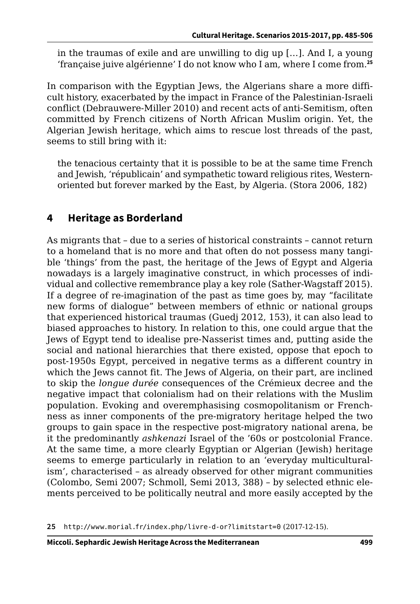in the traumas of exile and are unwilling to dig up […]. And I, a young 'française juive algérienne' I do not know who I am, where I come from.**<sup>25</sup>**

In comparison with the Egyptian Jews, the Algerians share a more difficult history, exacerbated by the impact in France of the Palestinian-Israeli conflict (Debrauwere-Miller 2010) and recent acts of anti-Semitism, often committed by French citizens of North African Muslim origin. Yet, the Algerian Jewish heritage, which aims to rescue lost threads of the past, seems to still bring with it:

the tenacious certainty that it is possible to be at the same time French and Jewish, 'républicain' and sympathetic toward religious rites, Westernoriented but forever marked by the East, by Algeria. (Stora 2006, 182)

### **4 Heritage as Borderland**

As migrants that – due to a series of historical constraints – cannot return to a homeland that is no more and that often do not possess many tangible 'things' from the past, the heritage of the Jews of Egypt and Algeria nowadays is a largely imaginative construct, in which processes of individual and collective remembrance play a key role (Sather-Wagstaff 2015). If a degree of re-imagination of the past as time goes by, may "facilitate new forms of dialogue" between members of ethnic or national groups that experienced historical traumas (Guedj 2012, 153), it can also lead to biased approaches to history. In relation to this, one could argue that the Jews of Egypt tend to idealise pre-Nasserist times and, putting aside the social and national hierarchies that there existed, oppose that epoch to post-1950s Egypt, perceived in negative terms as a different country in which the Jews cannot fit. The Jews of Algeria, on their part, are inclined to skip the *longue durée* consequences of the Crémieux decree and the negative impact that colonialism had on their relations with the Muslim population. Evoking and overemphasising cosmopolitanism or Frenchness as inner components of the pre-migratory heritage helped the two groups to gain space in the respective post-migratory national arena, be it the predominantly *ashkenazi* Israel of the '60s or postcolonial France. At the same time, a more clearly Egyptian or Algerian (Jewish) heritage seems to emerge particularly in relation to an 'everyday multiculturalism', characterised – as already observed for other migrant communities (Colombo, Semi 2007; Schmoll, Semi 2013, 388) – by selected ethnic elements perceived to be politically neutral and more easily accepted by the

**<sup>25</sup>** <http://www.morial.fr/index.php/livre-d-or?limitstart=0> (2017-12-15).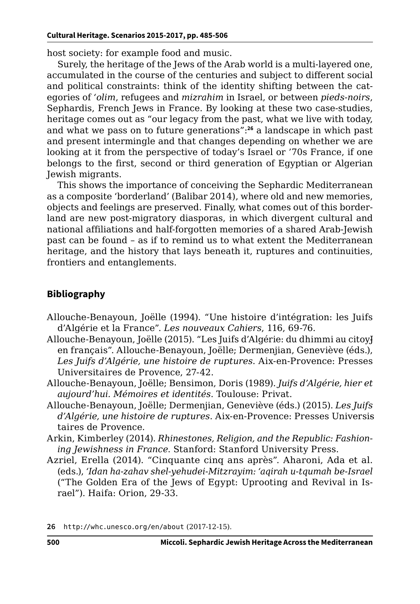host society: for example food and music.

Surely, the heritage of the Jews of the Arab world is a multi-layered one, accumulated in the course of the centuries and subject to different social and political constraints: think of the identity shifting between the categories of *'olim*, refugees and *mizrahim* in Israel, or between *pieds-noirs*, Sephardis, French Jews in France. By looking at these two case-studies, heritage comes out as "our legacy from the past, what we live with today, and what we pass on to future generations":**<sup>26</sup>** a landscape in which past and present intermingle and that changes depending on whether we are looking at it from the perspective of today's Israel or '70s France, if one belongs to the first, second or third generation of Egyptian or Algerian Jewish migrants.

This shows the importance of conceiving the Sephardic Mediterranean as a composite 'borderland' (Balibar 2014), where old and new memories, objects and feelings are preserved. Finally, what comes out of this borderland are new post-migratory diasporas, in which divergent cultural and national affiliations and half-forgotten memories of a shared Arab-Jewish past can be found – as if to remind us to what extent the Mediterranean heritage, and the history that lays beneath it, ruptures and continuities, frontiers and entanglements.

### **Bibliography**

- Allouche-Benayoun, Joëlle (1994). "Une histoire d'intégration: les Juifs d'Algérie et la France". *Les nouveaux Cahiers*, 116, 69-76.
- Allouche-Benayoun, Joëlle (2015). "Les Juifs d'Algérie: du dhimmi au citoy-J en français". Allouche-Benayoun, Joëlle; Dermenjian, Geneviève (éds.), *Les Juifs d'Algérie, une histoire de ruptures*. Aix-en-Provence: Presses Universitaires de Provence, 27-42.
- Allouche-Benayoun, Joëlle; Bensimon, Doris (1989). *Juifs d'Algérie, hier et aujourd'hui. Mémoires et identités*. Toulouse: Privat.
- Allouche-Benayoun, Joëlle; Dermenjian, Geneviève (éds.) (2015). *Les Juifs*  d'Algérie, une histoire de ruptures. Aix-en-Provence: Presses Universis taires de Provence.
- Arkin, Kimberley (2014). *Rhinestones, Religion, and the Republic: Fashioning Jewishness in France*. Stanford: Stanford University Press.
- Azriel, Erella (2014). "Cinquante cinq ans après". Aharoni, Ada et al. (eds.), *'Idan ha-zahav shel-yehudei-Mitzrayim: 'aqirah u-tqumah be-Israel* ("The Golden Era of the Jews of Egypt: Uprooting and Revival in Israel"). Haifa: Orion, 29-33.
- **26** <http://whc.unesco.org/en/about> (2017-12-15).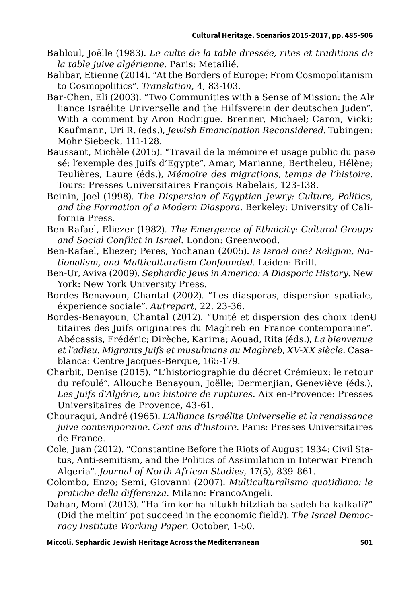- Bahloul, Joëlle (1983). *Le culte de la table dressée, rites et traditions de la table juive algérienne*. Paris: Metailié.
- Balibar, Etienne (2014). "At the Borders of Europe: From Cosmopolitanism to Cosmopolitics". *Translation*, 4, 83-103.
- Bar-Chen, Eli (2003). "Two Communities with a Sense of Mission: the Alr liance Israélite Universelle and the Hilfsverein der deutschen Juden". With a comment by Aron Rodrigue. Brenner, Michael; Caron, Vicki; Kaufmann, Uri R. (eds.), *Jewish Emancipation Reconsidered*. Tubingen: Mohr Siebeck, 111-128.
- Baussant, Michèle (2015). "Travail de la mémoire et usage public du pasosé: l'exemple des Juifs d'Egypte". Amar, Marianne; Bertheleu, Hélène; Teulières, Laure (éds.), *Mémoire des migrations, temps de l'histoire*. Tours: Presses Universitaires François Rabelais, 123-138.
- Beinin, Joel (1998). *The Dispersion of Egyptian Jewry: Culture, Politics, and the Formation of a Modern Diaspora*. Berkeley: University of California Press.
- Ben-Rafael, Eliezer (1982). *The Emergence of Ethnicity: Cultural Groups and Social Conflict in Israel*. London: Greenwood.
- Ben-Rafael, Eliezer; Peres, Yochanan (2005). *Is Israel one? Religion, Nationalism, and Multiculturalism Confounded*. Leiden: Brill.
- Ben-Ur, Aviva (2009). *Sephardic Jews in America: A Diasporic History*. New York: New York University Press.
- Bordes-Benayoun, Chantal (2002). "Les diasporas, dispersion spatiale, éxperience sociale". *Autrepart*, 22, 23-36.
- Bordes-Benayoun, Chantal (2012). "Unité et dispersion des choix idenUtitaires des Juifs originaires du Maghreb en France contemporaine". Abécassis, Frédéric; Dirèche, Karima; Aouad, Rita (éds.), *La bienvenue et l'adieu. Migrants Juifs et musulmans au Maghreb, XV-XX siècle*. Casablanca: Centre Jacques-Berque, 165-179.
- Charbit, Denise (2015). "L'historiographie du décret Crémieux: le retour du refoulé". Allouche Benayoun, Joëlle; Dermenjian, Geneviève (éds.), *Les Juifs d'Algérie, une histoire de ruptures*. Aix en-Provence: Presses Universitaires de Provence, 43-61.
- Chouraqui, André (1965). *L'Alliance Israélite Universelle et la renaissance juive contemporaine. Cent ans d'histoire*. Paris: Presses Universitaires de France.
- Cole, Juan (2012). "Constantine Before the Riots of August 1934: Civil Status, Anti-semitism, and the Politics of Assimilation in Interwar French Algeria". *Journal of North African Studies*, 17(5), 839-861.
- Colombo, Enzo; Semi, Giovanni (2007). *Multiculturalismo quotidiano: le pratiche della differenza*. Milano: FrancoAngeli.
- Dahan, Momi (2013). "Ha-'im kor ha-hitukh hitzliah ba-sadeh ha-kalkali?" (Did the meltin' pot succeed in the economic field?). *The Israel Democracy Institute Working Paper*, October, 1-50.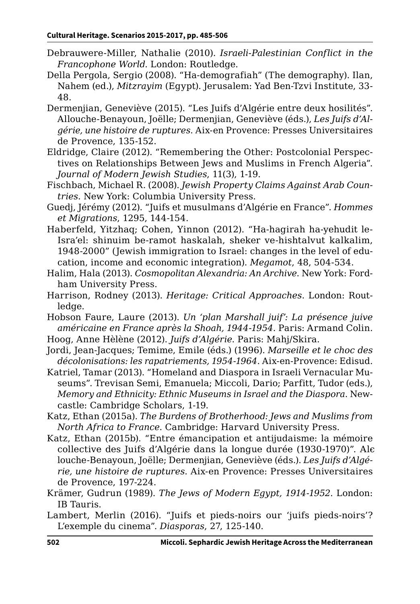- Debrauwere-Miller, Nathalie (2010). *Israeli-Palestinian Conflict in the Francophone World*. London: Routledge.
- Della Pergola, Sergio (2008). "Ha-demografiah" (The demography). Ilan, Nahem (ed.), *Mitzrayim* (Egypt). Jerusalem: Yad Ben-Tzvi Institute, 33- 48.
- Dermenjian, Geneviève (2015). "Les Juifs d'Algérie entre deux hosilités". Allouche-Benayoun, Joëlle; Dermenjian, Geneviève (éds.), *Les Juifs d'Algérie, une histoire de ruptures*. Aix-en Provence: Presses Universitaires de Provence, 135-152.
- Eldridge, Claire (2012). "Remembering the Other: Postcolonial Perspectives on Relationships Between Jews and Muslims in French Algeria". *Journal of Modern Jewish Studies*, 11(3), 1-19.
- Fischbach, Michael R. (2008). *Jewish Property Claims Against Arab Countries*. New York: Columbia University Press.
- Guedj, Jérémy (2012). "Juifs et musulmans d'Algérie en France". *Hommes et Migrations*, 1295, 144-154.
- Haberfeld, Yitzhaq; Cohen, Yinnon (2012). "Ha-hagirah ha-yehudit le-Isra'el: shinuim be-ramot haskalah, sheker ve-hishtalvut kalkalim, 1948-2000" (Jewish immigration to Israel: changes in the level of education, income and economic integration). *Megamot*, 48, 504-534.
- Halim, Hala (2013). *Cosmopolitan Alexandria: An Archive*. New York: Fordham University Press.
- Harrison, Rodney (2013). *Heritage: Critical Approaches*. London: Routledge.
- Hobson Faure, Laure (2013). *Un 'plan Marshall juif': La présence juive américaine en France après la Shoah, 1944-1954*. Paris: Armand Colin. Hoog, Anne Hèlène (2012). *Juifs d'Algérie*. Paris: Mahj/Skira.
- Jordi, Jean-Jacques; Temime, Emile (éds.) (1996). *Marseille et le choc des décolonisations: les rapatriements, 1954-1964*. Aix-en-Provence: Edisud.
- Katriel, Tamar (2013). "Homeland and Diaspora in Israeli Vernacular Museums". Trevisan Semi, Emanuela; Miccoli, Dario; Parfitt, Tudor (eds.), *Memory and Ethnicity: Ethnic Museums in Israel and the Diaspora*. Newcastle: Cambridge Scholars, 1-19.
- Katz, Ethan (2015a). *The Burdens of Brotherhood: Jews and Muslims from North Africa to France*. Cambridge: Harvard University Press.
- Katz, Ethan (2015b). "Entre émancipation et antijudaisme: la mémoire collective des Juifs d'Algérie dans la longue durée (1930-1970)". Alclouche-Benayoun, Joëlle; Dermenjian, Geneviève (éds.). *Les Juifs d'Algérie, une histoire de ruptures*. Aix-en Provence: Presses Universitaires de Provence, 197-224.
- Krämer, Gudrun (1989). *The Jews of Modern Egypt, 1914-1952*. London: IB Tauris.
- Lambert, Merlin (2016). "Juifs et pieds-noirs our 'juifs pieds-noirs'? L'exemple du cinema". *Diasporas*, 27, 125-140.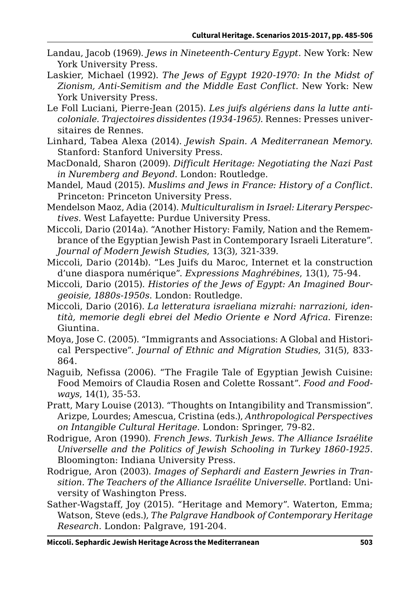- Landau, Jacob (1969). *Jews in Nineteenth-Century Egypt*. New York: New York University Press.
- Laskier, Michael (1992). *The Jews of Egypt 1920-1970: In the Midst of Zionism, Anti-Semitism and the Middle East Conflict*. New York: New York University Press.
- Le Foll Luciani, Pierre-Jean (2015). *Les juifs algériens dans la lutte anticoloniale. Trajectoires dissidentes (1934-1965)*. Rennes: Presses universitaires de Rennes.
- Linhard, Tabea Alexa (2014). *Jewish Spain. A Mediterranean Memory*. Stanford: Stanford University Press.
- MacDonald, Sharon (2009). *Difficult Heritage: Negotiating the Nazi Past in Nuremberg and Beyond*. London: Routledge.
- Mandel, Maud (2015). *Muslims and Jews in France: History of a Conflict*. Princeton: Princeton University Press.
- Mendelson Maoz, Adia (2014). *Multiculturalism in Israel: Literary Perspectives*. West Lafayette: Purdue University Press.
- Miccoli, Dario (2014a). "Another History: Family, Nation and the Remembrance of the Egyptian Jewish Past in Contemporary Israeli Literature". *Journal of Modern Jewish Studies*, 13(3), 321-339.
- Miccoli, Dario (2014b). "Les Juifs du Maroc, Internet et la construction d'une diaspora numérique". *Expressions Maghrébines*, 13(1), 75-94.
- Miccoli, Dario (2015). *Histories of the Jews of Egypt: An Imagined Bourgeoisie, 1880s-1950s*. London: Routledge.
- Miccoli, Dario (2016). *La letteratura israeliana mizrahi: narrazioni, identità, memorie degli ebrei del Medio Oriente e Nord Africa*. Firenze: Giuntina.
- Moya, Jose C. (2005). "Immigrants and Associations: A Global and Historical Perspective". *Journal of Ethnic and Migration Studies*, 31(5), 833- 864.
- Naguib, Nefissa (2006). "The Fragile Tale of Egyptian Jewish Cuisine: Food Memoirs of Claudia Rosen and Colette Rossant". *Food and Foodways*, 14(1), 35-53.
- Pratt, Mary Louise (2013). "Thoughts on Intangibility and Transmission". Arizpe, Lourdes; Amescua, Cristina (eds.), *Anthropological Perspectives on Intangible Cultural Heritage*. London: Springer, 79-82.
- Rodrigue, Aron (1990). *French Jews. Turkish Jews. The Alliance Israélite Universelle and the Politics of Jewish Schooling in Turkey 1860-1925*. Bloomington: Indiana University Press.
- Rodrigue, Aron (2003). *Images of Sephardi and Eastern Jewries in Transition. The Teachers of the Alliance Israélite Universelle*. Portland: University of Washington Press.
- Sather-Wagstaff, Joy (2015). "Heritage and Memory". Waterton, Emma; Watson, Steve (eds.), *The Palgrave Handbook of Contemporary Heritage Research*. London: Palgrave, 191-204.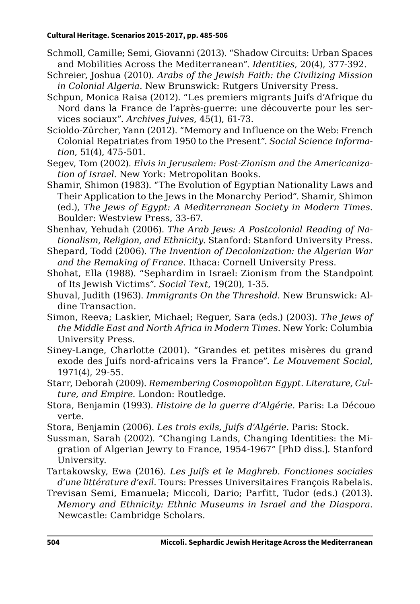- Schmoll, Camille; Semi, Giovanni (2013). "Shadow Circuits: Urban Spaces and Mobilities Across the Mediterranean". *Identities*, 20(4), 377-392.
- Schreier, Joshua (2010). *Arabs of the Jewish Faith: the Civilizing Mission in Colonial Algeria*. New Brunswick: Rutgers University Press.
- Schpun, Monica Raisa (2012). "Les premiers migrants Juifs d'Afrique du Nord dans la France de l'après-guerre: une découverte pour les services sociaux". *Archives Juives*, 45(1), 61-73.
- Scioldo-Zürcher, Yann (2012). "Memory and Influence on the Web: French Colonial Repatriates from 1950 to the Present". *Social Science Information*, 51(4), 475-501.
- Segev, Tom (2002). *Elvis in Jerusalem: Post-Zionism and the Americanization of Israel*. New York: Metropolitan Books.
- Shamir, Shimon (1983). "The Evolution of Egyptian Nationality Laws and Their Application to the Jews in the Monarchy Period". Shamir, Shimon (ed.), *The Jews of Egypt: A Mediterranean Society in Modern Times*. Boulder: Westview Press, 33-67.
- Shenhav, Yehudah (2006). *The Arab Jews: A Postcolonial Reading of Nationalism, Religion, and Ethnicity*. Stanford: Stanford University Press.
- Shepard, Todd (2006). *The Invention of Decolonization: the Algerian War and the Remaking of France*. Ithaca: Cornell University Press.
- Shohat, Ella (1988). "Sephardim in Israel: Zionism from the Standpoint of Its Jewish Victims". *Social Text*, 19(20), 1-35.
- Shuval, Judith (1963). *Immigrants On the Threshold*. New Brunswick: Aldine Transaction.
- Simon, Reeva; Laskier, Michael; Reguer, Sara (eds.) (2003). *The Jews of the Middle East and North Africa in Modern Times*. New York: Columbia University Press.
- Siney-Lange, Charlotte (2001). "Grandes et petites misères du grand exode des Juifs nord-africains vers la France". *Le Mouvement Social*, 1971(4), 29-55.
- Starr, Deborah (2009). *Remembering Cosmopolitan Egypt. Literature, Culture, and Empire*. London: Routledge.
- Stora, Benjamin (1993). *Histoire de la guerre d'Algérie*. Paris: La Découoverte.
- Stora, Benjamin (2006). *Les trois exils, Juifs d'Algérie*. Paris: Stock.
- Sussman, Sarah (2002). "Changing Lands, Changing Identities: the Migration of Algerian Jewry to France, 1954-1967" [PhD diss.]. Stanford University.
- Tartakowsky, Ewa (2016). *Les Juifs et le Maghreb. Fonctiones sociales d'une littérature d'exil*. Tours: Presses Universitaires François Rabelais.
- Trevisan Semi, Emanuela; Miccoli, Dario; Parfitt, Tudor (eds.) (2013). *Memory and Ethnicity: Ethnic Museums in Israel and the Diaspora*. Newcastle: Cambridge Scholars.